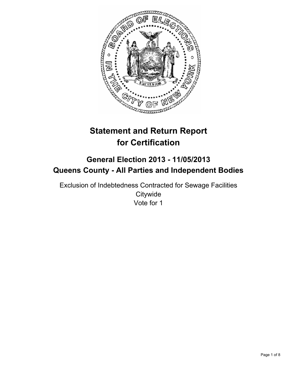

# **Statement and Return Report for Certification**

## **General Election 2013 - 11/05/2013 Queens County - All Parties and Independent Bodies**

Exclusion of Indebtedness Contracted for Sewage Facilities **Citywide** Vote for 1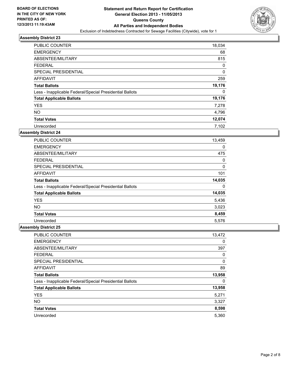

| <b>PUBLIC COUNTER</b>                                    | 18,034      |
|----------------------------------------------------------|-------------|
| <b>EMERGENCY</b>                                         | 68          |
| ABSENTEE/MILITARY                                        | 815         |
| <b>FEDERAL</b>                                           | 0           |
| SPECIAL PRESIDENTIAL                                     | $\mathbf 0$ |
| AFFIDAVIT                                                | 259         |
| <b>Total Ballots</b>                                     | 19,176      |
| Less - Inapplicable Federal/Special Presidential Ballots | 0           |
| <b>Total Applicable Ballots</b>                          | 19,176      |
| <b>YES</b>                                               | 7,278       |
| <b>NO</b>                                                | 4,796       |
| <b>Total Votes</b>                                       | 12,074      |
| Unrecorded                                               | 7,102       |

## **Assembly District 24**

| <b>PUBLIC COUNTER</b>                                    | 13,459 |
|----------------------------------------------------------|--------|
| <b>EMERGENCY</b>                                         | 0      |
| ABSENTEE/MILITARY                                        | 475    |
| <b>FEDERAL</b>                                           | 0      |
| <b>SPECIAL PRESIDENTIAL</b>                              | 0      |
| AFFIDAVIT                                                | 101    |
| <b>Total Ballots</b>                                     | 14,035 |
| Less - Inapplicable Federal/Special Presidential Ballots | 0      |
| <b>Total Applicable Ballots</b>                          | 14,035 |
| <b>YES</b>                                               | 5,436  |
| <b>NO</b>                                                | 3,023  |
| <b>Total Votes</b>                                       | 8,459  |
| Unrecorded                                               | 5,576  |

| <b>PUBLIC COUNTER</b>                                    | 13,472 |
|----------------------------------------------------------|--------|
| <b>EMERGENCY</b>                                         | 0      |
| ABSENTEE/MILITARY                                        | 397    |
| <b>FEDERAL</b>                                           | 0      |
| SPECIAL PRESIDENTIAL                                     | 0      |
| AFFIDAVIT                                                | 89     |
| <b>Total Ballots</b>                                     | 13,958 |
| Less - Inapplicable Federal/Special Presidential Ballots | 0      |
| <b>Total Applicable Ballots</b>                          | 13,958 |
| <b>YES</b>                                               | 5,271  |
| <b>NO</b>                                                | 3,327  |
| <b>Total Votes</b>                                       | 8,598  |
| Unrecorded                                               | 5,360  |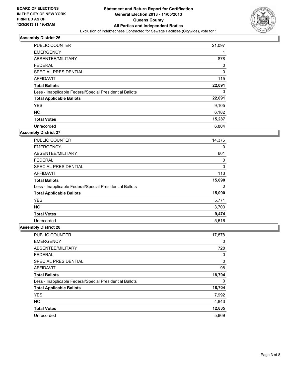

| <b>PUBLIC COUNTER</b>                                    | 21,097 |
|----------------------------------------------------------|--------|
| <b>EMERGENCY</b>                                         |        |
| ABSENTEE/MILITARY                                        | 878    |
| <b>FEDERAL</b>                                           | 0      |
| SPECIAL PRESIDENTIAL                                     | 0      |
| <b>AFFIDAVIT</b>                                         | 115    |
| <b>Total Ballots</b>                                     | 22,091 |
| Less - Inapplicable Federal/Special Presidential Ballots | 0      |
| <b>Total Applicable Ballots</b>                          | 22,091 |
| <b>YES</b>                                               | 9,105  |
| <b>NO</b>                                                | 6,182  |
| <b>Total Votes</b>                                       | 15,287 |
| Unrecorded                                               | 6,804  |

## **Assembly District 27**

| <b>PUBLIC COUNTER</b>                                    | 14,376 |
|----------------------------------------------------------|--------|
| <b>EMERGENCY</b>                                         | 0      |
| ABSENTEE/MILITARY                                        | 601    |
| <b>FEDERAL</b>                                           | 0      |
| <b>SPECIAL PRESIDENTIAL</b>                              | 0      |
| AFFIDAVIT                                                | 113    |
| <b>Total Ballots</b>                                     | 15,090 |
| Less - Inapplicable Federal/Special Presidential Ballots | 0      |
| <b>Total Applicable Ballots</b>                          | 15,090 |
| <b>YES</b>                                               | 5,771  |
| <b>NO</b>                                                | 3,703  |
| <b>Total Votes</b>                                       | 9,474  |
| Unrecorded                                               | 5,616  |

| PUBLIC COUNTER                                           | 17,878 |
|----------------------------------------------------------|--------|
| <b>EMERGENCY</b>                                         | 0      |
| ABSENTEE/MILITARY                                        | 728    |
| <b>FEDERAL</b>                                           | 0      |
| SPECIAL PRESIDENTIAL                                     | 0      |
| AFFIDAVIT                                                | 98     |
| <b>Total Ballots</b>                                     | 18,704 |
| Less - Inapplicable Federal/Special Presidential Ballots | 0      |
| <b>Total Applicable Ballots</b>                          | 18,704 |
| <b>YES</b>                                               | 7,992  |
| <b>NO</b>                                                | 4,843  |
| <b>Total Votes</b>                                       | 12,835 |
| Unrecorded                                               | 5,869  |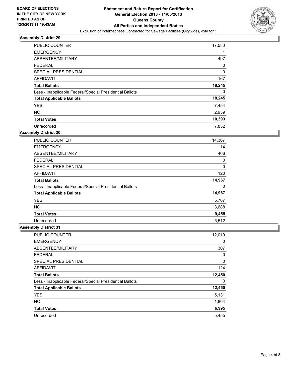

| <b>PUBLIC COUNTER</b>                                    | 17,580 |
|----------------------------------------------------------|--------|
| <b>EMERGENCY</b>                                         |        |
| ABSENTEE/MILITARY                                        | 497    |
| <b>FEDERAL</b>                                           | 0      |
| SPECIAL PRESIDENTIAL                                     | 0      |
| AFFIDAVIT                                                | 167    |
| <b>Total Ballots</b>                                     | 18,245 |
| Less - Inapplicable Federal/Special Presidential Ballots | 0      |
| <b>Total Applicable Ballots</b>                          | 18,245 |
| <b>YES</b>                                               | 7,454  |
| <b>NO</b>                                                | 2,939  |
| <b>Total Votes</b>                                       | 10,393 |
| Unrecorded                                               | 7,852  |

## **Assembly District 30**

| PUBLIC COUNTER                                           | 14,367 |
|----------------------------------------------------------|--------|
| <b>EMERGENCY</b>                                         | 14     |
| ABSENTEE/MILITARY                                        | 466    |
| <b>FEDERAL</b>                                           | 0      |
| <b>SPECIAL PRESIDENTIAL</b>                              | 0      |
| AFFIDAVIT                                                | 120    |
| <b>Total Ballots</b>                                     | 14,967 |
| Less - Inapplicable Federal/Special Presidential Ballots | 0      |
| <b>Total Applicable Ballots</b>                          | 14,967 |
| <b>YES</b>                                               | 5,767  |
| <b>NO</b>                                                | 3,688  |
| <b>Total Votes</b>                                       | 9,455  |
| Unrecorded                                               | 5,512  |

| <b>PUBLIC COUNTER</b>                                    | 12,019 |
|----------------------------------------------------------|--------|
| <b>EMERGENCY</b>                                         | 0      |
| ABSENTEE/MILITARY                                        | 307    |
| <b>FEDERAL</b>                                           | 0      |
| SPECIAL PRESIDENTIAL                                     | 0      |
| AFFIDAVIT                                                | 124    |
| <b>Total Ballots</b>                                     | 12,450 |
| Less - Inapplicable Federal/Special Presidential Ballots | 0      |
| <b>Total Applicable Ballots</b>                          | 12,450 |
| <b>YES</b>                                               | 5,131  |
| <b>NO</b>                                                | 1,864  |
| <b>Total Votes</b>                                       | 6,995  |
| Unrecorded                                               | 5.455  |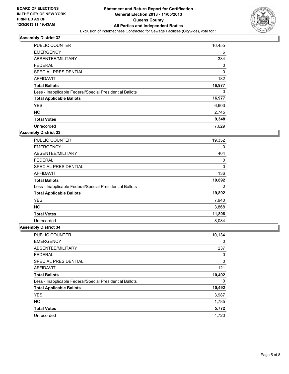

| PUBLIC COUNTER                                           | 16,455   |
|----------------------------------------------------------|----------|
| <b>EMERGENCY</b>                                         | 6        |
| ABSENTEE/MILITARY                                        | 334      |
| <b>FEDERAL</b>                                           | 0        |
| SPECIAL PRESIDENTIAL                                     | $\Omega$ |
| AFFIDAVIT                                                | 182      |
| <b>Total Ballots</b>                                     | 16,977   |
| Less - Inapplicable Federal/Special Presidential Ballots | 0        |
| <b>Total Applicable Ballots</b>                          | 16,977   |
| <b>YES</b>                                               | 6,603    |
| <b>NO</b>                                                | 2,745    |
| <b>Total Votes</b>                                       | 9,348    |
| Unrecorded                                               | 7,629    |

## **Assembly District 33**

| <b>PUBLIC COUNTER</b>                                    | 19,352 |
|----------------------------------------------------------|--------|
| <b>EMERGENCY</b>                                         | 0      |
| ABSENTEE/MILITARY                                        | 404    |
| <b>FEDERAL</b>                                           | 0      |
| <b>SPECIAL PRESIDENTIAL</b>                              | 0      |
| AFFIDAVIT                                                | 136    |
| <b>Total Ballots</b>                                     | 19,892 |
| Less - Inapplicable Federal/Special Presidential Ballots | 0      |
| <b>Total Applicable Ballots</b>                          | 19,892 |
| <b>YES</b>                                               | 7,940  |
| <b>NO</b>                                                | 3,868  |
| <b>Total Votes</b>                                       | 11,808 |
| Unrecorded                                               | 8,084  |

| <b>PUBLIC COUNTER</b>                                    | 10,134 |
|----------------------------------------------------------|--------|
| <b>EMERGENCY</b>                                         | 0      |
| ABSENTEE/MILITARY                                        | 237    |
| <b>FEDERAL</b>                                           | 0      |
| SPECIAL PRESIDENTIAL                                     | 0      |
| AFFIDAVIT                                                | 121    |
| <b>Total Ballots</b>                                     | 10,492 |
| Less - Inapplicable Federal/Special Presidential Ballots | 0      |
| <b>Total Applicable Ballots</b>                          | 10,492 |
| <b>YES</b>                                               | 3,987  |
| <b>NO</b>                                                | 1,785  |
| <b>Total Votes</b>                                       | 5,772  |
| Unrecorded                                               | 4,720  |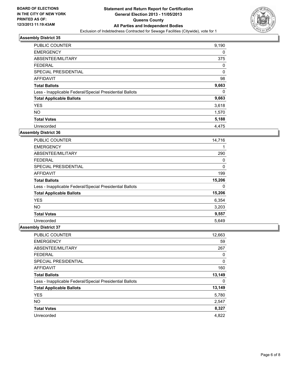

| PUBLIC COUNTER                                           | 9,190 |
|----------------------------------------------------------|-------|
| <b>EMERGENCY</b>                                         | 0     |
| ABSENTEE/MILITARY                                        | 375   |
| <b>FEDERAL</b>                                           | 0     |
| SPECIAL PRESIDENTIAL                                     | 0     |
| AFFIDAVIT                                                | 98    |
| <b>Total Ballots</b>                                     | 9,663 |
| Less - Inapplicable Federal/Special Presidential Ballots | 0     |
| <b>Total Applicable Ballots</b>                          | 9,663 |
| <b>YES</b>                                               | 3,618 |
| <b>NO</b>                                                | 1,570 |
| <b>Total Votes</b>                                       | 5,188 |
| Unrecorded                                               | 4,475 |

## **Assembly District 36**

| PUBLIC COUNTER                                           | 14,716 |
|----------------------------------------------------------|--------|
| <b>EMERGENCY</b>                                         |        |
| ABSENTEE/MILITARY                                        | 290    |
| <b>FEDERAL</b>                                           | 0      |
| <b>SPECIAL PRESIDENTIAL</b>                              | 0      |
| AFFIDAVIT                                                | 199    |
| <b>Total Ballots</b>                                     | 15,206 |
| Less - Inapplicable Federal/Special Presidential Ballots | 0      |
| <b>Total Applicable Ballots</b>                          | 15,206 |
| <b>YES</b>                                               | 6,354  |
| <b>NO</b>                                                | 3,203  |
| <b>Total Votes</b>                                       | 9,557  |
| Unrecorded                                               | 5,649  |

| <b>PUBLIC COUNTER</b>                                    | 12,663 |
|----------------------------------------------------------|--------|
| <b>EMERGENCY</b>                                         | 59     |
| ABSENTEE/MILITARY                                        | 267    |
| <b>FEDERAL</b>                                           | 0      |
| SPECIAL PRESIDENTIAL                                     | 0      |
| <b>AFFIDAVIT</b>                                         | 160    |
| <b>Total Ballots</b>                                     | 13,149 |
| Less - Inapplicable Federal/Special Presidential Ballots | 0      |
| <b>Total Applicable Ballots</b>                          | 13,149 |
| <b>YES</b>                                               | 5,780  |
| <b>NO</b>                                                | 2,547  |
| <b>Total Votes</b>                                       | 8,327  |
| Unrecorded                                               | 4,822  |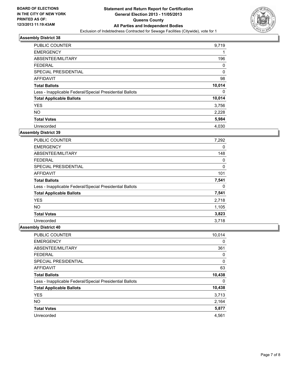

| PUBLIC COUNTER                                           | 9,719  |
|----------------------------------------------------------|--------|
| <b>EMERGENCY</b>                                         |        |
| ABSENTEE/MILITARY                                        | 196    |
| <b>FEDERAL</b>                                           | 0      |
| SPECIAL PRESIDENTIAL                                     | 0      |
| AFFIDAVIT                                                | 98     |
| <b>Total Ballots</b>                                     | 10,014 |
| Less - Inapplicable Federal/Special Presidential Ballots | 0      |
| <b>Total Applicable Ballots</b>                          | 10,014 |
| <b>YES</b>                                               | 3,756  |
| <b>NO</b>                                                | 2,228  |
| <b>Total Votes</b>                                       | 5,984  |
| Unrecorded                                               | 4,030  |

## **Assembly District 39**

| <b>PUBLIC COUNTER</b>                                    | 7,292 |
|----------------------------------------------------------|-------|
| <b>EMERGENCY</b>                                         | 0     |
| ABSENTEE/MILITARY                                        | 148   |
| <b>FEDERAL</b>                                           | 0     |
| <b>SPECIAL PRESIDENTIAL</b>                              | 0     |
| AFFIDAVIT                                                | 101   |
| <b>Total Ballots</b>                                     | 7,541 |
| Less - Inapplicable Federal/Special Presidential Ballots | 0     |
| <b>Total Applicable Ballots</b>                          | 7,541 |
| <b>YES</b>                                               | 2,718 |
| NO.                                                      | 1,105 |
| <b>Total Votes</b>                                       | 3,823 |
| Unrecorded                                               | 3,718 |

| <b>PUBLIC COUNTER</b>                                    | 10,014 |
|----------------------------------------------------------|--------|
| <b>EMERGENCY</b>                                         | 0      |
| ABSENTEE/MILITARY                                        | 361    |
| <b>FEDERAL</b>                                           | 0      |
| SPECIAL PRESIDENTIAL                                     | 0      |
| <b>AFFIDAVIT</b>                                         | 63     |
| <b>Total Ballots</b>                                     | 10,438 |
| Less - Inapplicable Federal/Special Presidential Ballots | 0      |
| <b>Total Applicable Ballots</b>                          | 10,438 |
| <b>YES</b>                                               | 3,713  |
| <b>NO</b>                                                | 2,164  |
| <b>Total Votes</b>                                       | 5,877  |
| Unrecorded                                               | 4,561  |